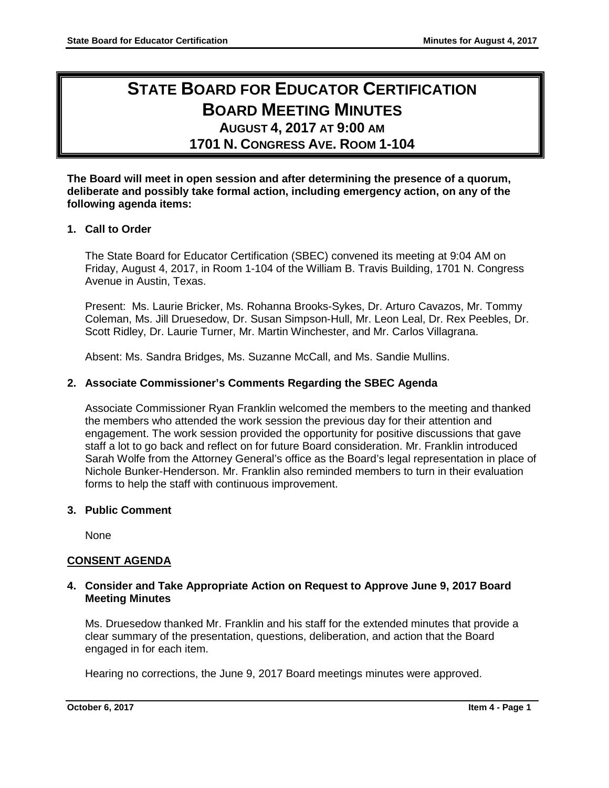# **STATE BOARD FOR EDUCATOR CERTIFICATION BOARD MEETING MINUTES AUGUST 4, 2017 AT 9:00 AM**

**1701 N. CONGRESS AVE. ROOM 1-104**

**The Board will meet in open session and after determining the presence of a quorum, deliberate and possibly take formal action, including emergency action, on any of the following agenda items:**

# **1. Call to Order**

The State Board for Educator Certification (SBEC) convened its meeting at 9:04 AM on Friday, August 4, 2017, in Room 1-104 of the William B. Travis Building, 1701 N. Congress Avenue in Austin, Texas.

Present: Ms. Laurie Bricker, Ms. Rohanna Brooks-Sykes, Dr. Arturo Cavazos, Mr. Tommy Coleman, Ms. Jill Druesedow, Dr. Susan Simpson-Hull, Mr. Leon Leal, Dr. Rex Peebles, Dr. Scott Ridley, Dr. Laurie Turner, Mr. Martin Winchester, and Mr. Carlos Villagrana.

Absent: Ms. Sandra Bridges, Ms. Suzanne McCall, and Ms. Sandie Mullins.

# **2. Associate Commissioner's Comments Regarding the SBEC Agenda**

Associate Commissioner Ryan Franklin welcomed the members to the meeting and thanked the members who attended the work session the previous day for their attention and engagement. The work session provided the opportunity for positive discussions that gave staff a lot to go back and reflect on for future Board consideration. Mr. Franklin introduced Sarah Wolfe from the Attorney General's office as the Board's legal representation in place of Nichole Bunker-Henderson. Mr. Franklin also reminded members to turn in their evaluation forms to help the staff with continuous improvement.

# **3. Public Comment**

None

# **CONSENT AGENDA**

# **4. Consider and Take Appropriate Action on Request to Approve June 9, 2017 Board Meeting Minutes**

Ms. Druesedow thanked Mr. Franklin and his staff for the extended minutes that provide a clear summary of the presentation, questions, deliberation, and action that the Board engaged in for each item.

Hearing no corrections, the June 9, 2017 Board meetings minutes were approved.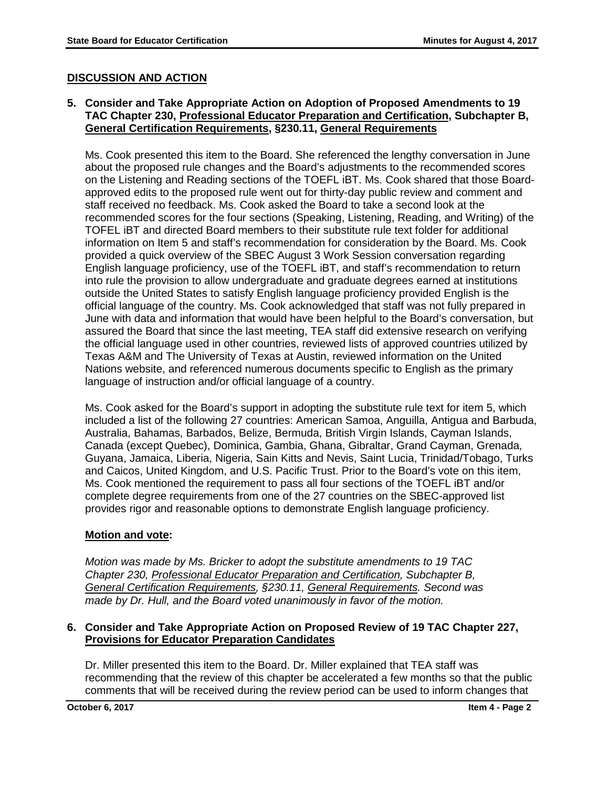# **DISCUSSION AND ACTION**

# **5. Consider and Take Appropriate Action on Adoption of Proposed Amendments to 19 TAC Chapter 230, Professional Educator Preparation and Certification, Subchapter B, General Certification Requirements, §230.11, General Requirements**

Ms. Cook presented this item to the Board. She referenced the lengthy conversation in June about the proposed rule changes and the Board's adjustments to the recommended scores on the Listening and Reading sections of the TOEFL iBT. Ms. Cook shared that those Boardapproved edits to the proposed rule went out for thirty-day public review and comment and staff received no feedback. Ms. Cook asked the Board to take a second look at the recommended scores for the four sections (Speaking, Listening, Reading, and Writing) of the TOFEL iBT and directed Board members to their substitute rule text folder for additional information on Item 5 and staff's recommendation for consideration by the Board. Ms. Cook provided a quick overview of the SBEC August 3 Work Session conversation regarding English language proficiency, use of the TOEFL iBT, and staff's recommendation to return into rule the provision to allow undergraduate and graduate degrees earned at institutions outside the United States to satisfy English language proficiency provided English is the official language of the country. Ms. Cook acknowledged that staff was not fully prepared in June with data and information that would have been helpful to the Board's conversation, but assured the Board that since the last meeting, TEA staff did extensive research on verifying the official language used in other countries, reviewed lists of approved countries utilized by Texas A&M and The University of Texas at Austin, reviewed information on the United Nations website, and referenced numerous documents specific to English as the primary language of instruction and/or official language of a country.

Ms. Cook asked for the Board's support in adopting the substitute rule text for item 5, which included a list of the following 27 countries: American Samoa, Anguilla, Antigua and Barbuda, Australia, Bahamas, Barbados, Belize, Bermuda, British Virgin Islands, Cayman Islands, Canada (except Quebec), Dominica, Gambia, Ghana, Gibraltar, Grand Cayman, Grenada, Guyana, Jamaica, Liberia, Nigeria, Sain Kitts and Nevis, Saint Lucia, Trinidad/Tobago, Turks and Caicos, United Kingdom, and U.S. Pacific Trust. Prior to the Board's vote on this item, Ms. Cook mentioned the requirement to pass all four sections of the TOEFL iBT and/or complete degree requirements from one of the 27 countries on the SBEC-approved list provides rigor and reasonable options to demonstrate English language proficiency.

# **Motion and vote:**

*Motion was made by Ms. Bricker to adopt the substitute amendments to 19 TAC Chapter 230, Professional Educator Preparation and Certification, Subchapter B, General Certification Requirements, §230.11, General Requirements. Second was made by Dr. Hull, and the Board voted unanimously in favor of the motion.*

# **6. Consider and Take Appropriate Action on Proposed Review of 19 TAC Chapter 227, Provisions for Educator Preparation Candidates**

Dr. Miller presented this item to the Board. Dr. Miller explained that TEA staff was recommending that the review of this chapter be accelerated a few months so that the public comments that will be received during the review period can be used to inform changes that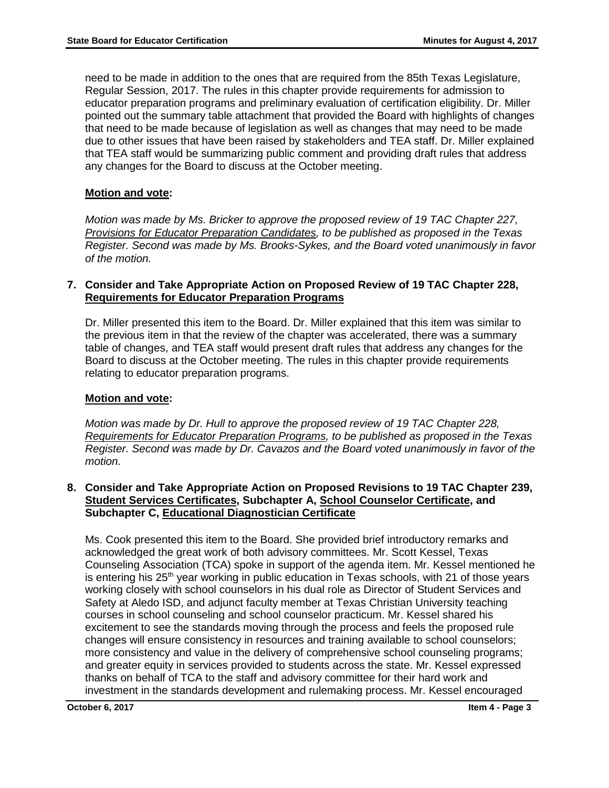need to be made in addition to the ones that are required from the 85th Texas Legislature, Regular Session, 2017. The rules in this chapter provide requirements for admission to educator preparation programs and preliminary evaluation of certification eligibility. Dr. Miller pointed out the summary table attachment that provided the Board with highlights of changes that need to be made because of legislation as well as changes that may need to be made due to other issues that have been raised by stakeholders and TEA staff. Dr. Miller explained that TEA staff would be summarizing public comment and providing draft rules that address any changes for the Board to discuss at the October meeting.

# **Motion and vote:**

*Motion was made by Ms. Bricker to approve the proposed review of 19 TAC Chapter 227, Provisions for Educator Preparation Candidates, to be published as proposed in the Texas Register. Second was made by Ms. Brooks-Sykes, and the Board voted unanimously in favor of the motion.*

## **7. Consider and Take Appropriate Action on Proposed Review of 19 TAC Chapter 228, Requirements for Educator Preparation Programs**

Dr. Miller presented this item to the Board. Dr. Miller explained that this item was similar to the previous item in that the review of the chapter was accelerated, there was a summary table of changes, and TEA staff would present draft rules that address any changes for the Board to discuss at the October meeting. The rules in this chapter provide requirements relating to educator preparation programs.

# **Motion and vote:**

*Motion was made by Dr. Hull to approve the proposed review of 19 TAC Chapter 228, Requirements for Educator Preparation Programs, to be published as proposed in the Texas Register. Second was made by Dr. Cavazos and the Board voted unanimously in favor of the motion.* 

## **8. Consider and Take Appropriate Action on Proposed Revisions to 19 TAC Chapter 239, Student Services Certificates, Subchapter A, School Counselor Certificate, and Subchapter C, Educational Diagnostician Certificate**

Ms. Cook presented this item to the Board. She provided brief introductory remarks and acknowledged the great work of both advisory committees. Mr. Scott Kessel, Texas Counseling Association (TCA) spoke in support of the agenda item. Mr. Kessel mentioned he is entering his 25<sup>th</sup> year working in public education in Texas schools, with 21 of those years working closely with school counselors in his dual role as Director of Student Services and Safety at Aledo ISD, and adjunct faculty member at Texas Christian University teaching courses in school counseling and school counselor practicum. Mr. Kessel shared his excitement to see the standards moving through the process and feels the proposed rule changes will ensure consistency in resources and training available to school counselors; more consistency and value in the delivery of comprehensive school counseling programs; and greater equity in services provided to students across the state. Mr. Kessel expressed thanks on behalf of TCA to the staff and advisory committee for their hard work and investment in the standards development and rulemaking process. Mr. Kessel encouraged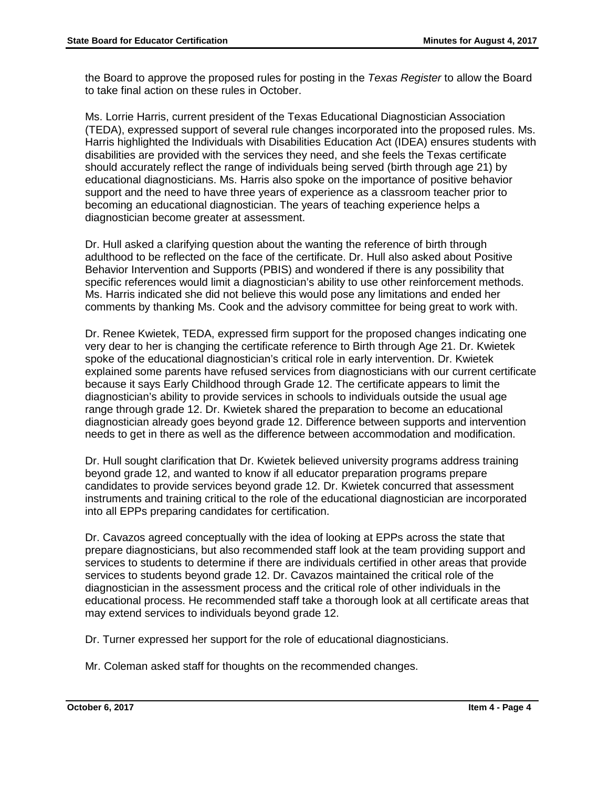the Board to approve the proposed rules for posting in the *Texas Register* to allow the Board to take final action on these rules in October.

Ms. Lorrie Harris, current president of the Texas Educational Diagnostician Association (TEDA), expressed support of several rule changes incorporated into the proposed rules. Ms. Harris highlighted the Individuals with Disabilities Education Act (IDEA) ensures students with disabilities are provided with the services they need, and she feels the Texas certificate should accurately reflect the range of individuals being served (birth through age 21) by educational diagnosticians. Ms. Harris also spoke on the importance of positive behavior support and the need to have three years of experience as a classroom teacher prior to becoming an educational diagnostician. The years of teaching experience helps a diagnostician become greater at assessment.

Dr. Hull asked a clarifying question about the wanting the reference of birth through adulthood to be reflected on the face of the certificate. Dr. Hull also asked about Positive Behavior Intervention and Supports (PBIS) and wondered if there is any possibility that specific references would limit a diagnostician's ability to use other reinforcement methods. Ms. Harris indicated she did not believe this would pose any limitations and ended her comments by thanking Ms. Cook and the advisory committee for being great to work with.

Dr. Renee Kwietek, TEDA, expressed firm support for the proposed changes indicating one very dear to her is changing the certificate reference to Birth through Age 21. Dr. Kwietek spoke of the educational diagnostician's critical role in early intervention. Dr. Kwietek explained some parents have refused services from diagnosticians with our current certificate because it says Early Childhood through Grade 12. The certificate appears to limit the diagnostician's ability to provide services in schools to individuals outside the usual age range through grade 12. Dr. Kwietek shared the preparation to become an educational diagnostician already goes beyond grade 12. Difference between supports and intervention needs to get in there as well as the difference between accommodation and modification.

Dr. Hull sought clarification that Dr. Kwietek believed university programs address training beyond grade 12, and wanted to know if all educator preparation programs prepare candidates to provide services beyond grade 12. Dr. Kwietek concurred that assessment instruments and training critical to the role of the educational diagnostician are incorporated into all EPPs preparing candidates for certification.

Dr. Cavazos agreed conceptually with the idea of looking at EPPs across the state that prepare diagnosticians, but also recommended staff look at the team providing support and services to students to determine if there are individuals certified in other areas that provide services to students beyond grade 12. Dr. Cavazos maintained the critical role of the diagnostician in the assessment process and the critical role of other individuals in the educational process. He recommended staff take a thorough look at all certificate areas that may extend services to individuals beyond grade 12.

Dr. Turner expressed her support for the role of educational diagnosticians.

Mr. Coleman asked staff for thoughts on the recommended changes.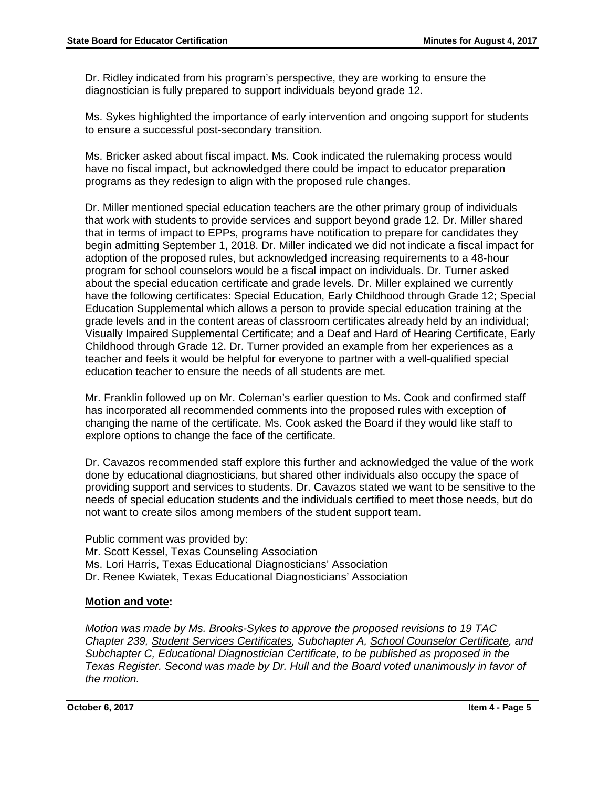Dr. Ridley indicated from his program's perspective, they are working to ensure the diagnostician is fully prepared to support individuals beyond grade 12.

Ms. Sykes highlighted the importance of early intervention and ongoing support for students to ensure a successful post-secondary transition.

Ms. Bricker asked about fiscal impact. Ms. Cook indicated the rulemaking process would have no fiscal impact, but acknowledged there could be impact to educator preparation programs as they redesign to align with the proposed rule changes.

Dr. Miller mentioned special education teachers are the other primary group of individuals that work with students to provide services and support beyond grade 12. Dr. Miller shared that in terms of impact to EPPs, programs have notification to prepare for candidates they begin admitting September 1, 2018. Dr. Miller indicated we did not indicate a fiscal impact for adoption of the proposed rules, but acknowledged increasing requirements to a 48-hour program for school counselors would be a fiscal impact on individuals. Dr. Turner asked about the special education certificate and grade levels. Dr. Miller explained we currently have the following certificates: Special Education, Early Childhood through Grade 12; Special Education Supplemental which allows a person to provide special education training at the grade levels and in the content areas of classroom certificates already held by an individual; Visually Impaired Supplemental Certificate; and a Deaf and Hard of Hearing Certificate, Early Childhood through Grade 12. Dr. Turner provided an example from her experiences as a teacher and feels it would be helpful for everyone to partner with a well-qualified special education teacher to ensure the needs of all students are met.

Mr. Franklin followed up on Mr. Coleman's earlier question to Ms. Cook and confirmed staff has incorporated all recommended comments into the proposed rules with exception of changing the name of the certificate. Ms. Cook asked the Board if they would like staff to explore options to change the face of the certificate.

Dr. Cavazos recommended staff explore this further and acknowledged the value of the work done by educational diagnosticians, but shared other individuals also occupy the space of providing support and services to students. Dr. Cavazos stated we want to be sensitive to the needs of special education students and the individuals certified to meet those needs, but do not want to create silos among members of the student support team.

Public comment was provided by: Mr. Scott Kessel, Texas Counseling Association Ms. Lori Harris, Texas Educational Diagnosticians' Association Dr. Renee Kwiatek, Texas Educational Diagnosticians' Association

# **Motion and vote:**

*Motion was made by Ms. Brooks-Sykes to approve the proposed revisions to 19 TAC Chapter 239, Student Services Certificates, Subchapter A, School Counselor Certificate, and Subchapter C, Educational Diagnostician Certificate, to be published as proposed in the Texas Register. Second was made by Dr. Hull and the Board voted unanimously in favor of the motion.*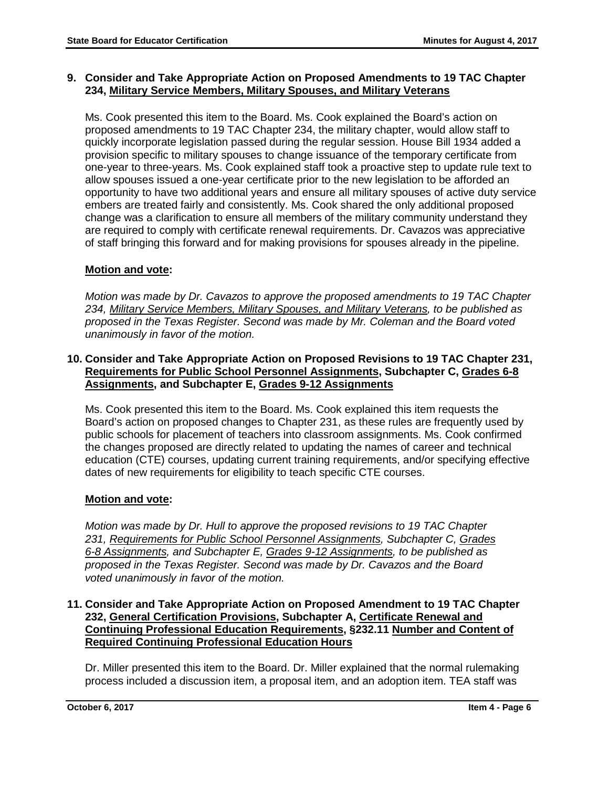# **9. Consider and Take Appropriate Action on Proposed Amendments to 19 TAC Chapter 234, Military Service Members, Military Spouses, and Military Veterans**

Ms. Cook presented this item to the Board. Ms. Cook explained the Board's action on proposed amendments to 19 TAC Chapter 234, the military chapter, would allow staff to quickly incorporate legislation passed during the regular session. House Bill 1934 added a provision specific to military spouses to change issuance of the temporary certificate from one-year to three-years. Ms. Cook explained staff took a proactive step to update rule text to allow spouses issued a one-year certificate prior to the new legislation to be afforded an opportunity to have two additional years and ensure all military spouses of active duty service embers are treated fairly and consistently. Ms. Cook shared the only additional proposed change was a clarification to ensure all members of the military community understand they are required to comply with certificate renewal requirements. Dr. Cavazos was appreciative of staff bringing this forward and for making provisions for spouses already in the pipeline.

# **Motion and vote:**

*Motion was made by Dr. Cavazos to approve the proposed amendments to 19 TAC Chapter 234, Military Service Members, Military Spouses, and Military Veterans, to be published as proposed in the Texas Register. Second was made by Mr. Coleman and the Board voted unanimously in favor of the motion.* 

# **10. Consider and Take Appropriate Action on Proposed Revisions to 19 TAC Chapter 231, Requirements for Public School Personnel Assignments, Subchapter C, Grades 6-8 Assignments, and Subchapter E, Grades 9-12 Assignments**

Ms. Cook presented this item to the Board. Ms. Cook explained this item requests the Board's action on proposed changes to Chapter 231, as these rules are frequently used by public schools for placement of teachers into classroom assignments. Ms. Cook confirmed the changes proposed are directly related to updating the names of career and technical education (CTE) courses, updating current training requirements, and/or specifying effective dates of new requirements for eligibility to teach specific CTE courses.

# **Motion and vote:**

*Motion was made by Dr. Hull to approve the proposed revisions to 19 TAC Chapter 231, Requirements for Public School Personnel Assignments, Subchapter C, Grades 6-8 Assignments, and Subchapter E, Grades 9-12 Assignments, to be published as proposed in the Texas Register. Second was made by Dr. Cavazos and the Board voted unanimously in favor of the motion.*

# **11. Consider and Take Appropriate Action on Proposed Amendment to 19 TAC Chapter 232, General Certification Provisions, Subchapter A, Certificate Renewal and Continuing Professional Education Requirements, §232.11 Number and Content of Required Continuing Professional Education Hours**

Dr. Miller presented this item to the Board. Dr. Miller explained that the normal rulemaking process included a discussion item, a proposal item, and an adoption item. TEA staff was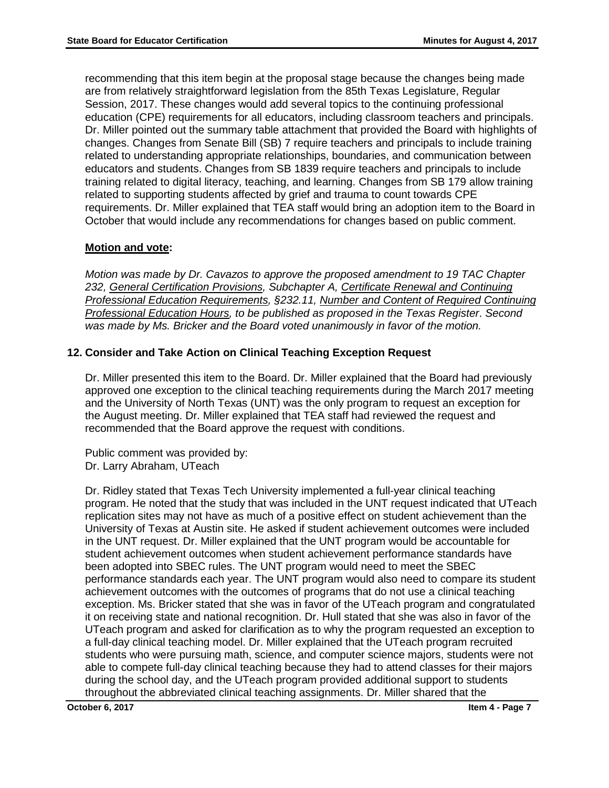recommending that this item begin at the proposal stage because the changes being made are from relatively straightforward legislation from the 85th Texas Legislature, Regular Session, 2017. These changes would add several topics to the continuing professional education (CPE) requirements for all educators, including classroom teachers and principals. Dr. Miller pointed out the summary table attachment that provided the Board with highlights of changes. Changes from Senate Bill (SB) 7 require teachers and principals to include training related to understanding appropriate relationships, boundaries, and communication between educators and students. Changes from SB 1839 require teachers and principals to include training related to digital literacy, teaching, and learning. Changes from SB 179 allow training related to supporting students affected by grief and trauma to count towards CPE requirements. Dr. Miller explained that TEA staff would bring an adoption item to the Board in October that would include any recommendations for changes based on public comment.

# **Motion and vote:**

*Motion was made by Dr. Cavazos to approve the proposed amendment to 19 TAC Chapter 232, General Certification Provisions, Subchapter A, Certificate Renewal and Continuing Professional Education Requirements, §232.11, Number and Content of Required Continuing Professional Education Hours, to be published as proposed in the Texas Register*. *Second was made by Ms. Bricker and the Board voted unanimously in favor of the motion.* 

# **12. Consider and Take Action on Clinical Teaching Exception Request**

Dr. Miller presented this item to the Board. Dr. Miller explained that the Board had previously approved one exception to the clinical teaching requirements during the March 2017 meeting and the University of North Texas (UNT) was the only program to request an exception for the August meeting. Dr. Miller explained that TEA staff had reviewed the request and recommended that the Board approve the request with conditions.

Public comment was provided by: Dr. Larry Abraham, UTeach

Dr. Ridley stated that Texas Tech University implemented a full-year clinical teaching program. He noted that the study that was included in the UNT request indicated that UTeach replication sites may not have as much of a positive effect on student achievement than the University of Texas at Austin site. He asked if student achievement outcomes were included in the UNT request. Dr. Miller explained that the UNT program would be accountable for student achievement outcomes when student achievement performance standards have been adopted into SBEC rules. The UNT program would need to meet the SBEC performance standards each year. The UNT program would also need to compare its student achievement outcomes with the outcomes of programs that do not use a clinical teaching exception. Ms. Bricker stated that she was in favor of the UTeach program and congratulated it on receiving state and national recognition. Dr. Hull stated that she was also in favor of the UTeach program and asked for clarification as to why the program requested an exception to a full-day clinical teaching model. Dr. Miller explained that the UTeach program recruited students who were pursuing math, science, and computer science majors, students were not able to compete full-day clinical teaching because they had to attend classes for their majors during the school day, and the UTeach program provided additional support to students throughout the abbreviated clinical teaching assignments. Dr. Miller shared that the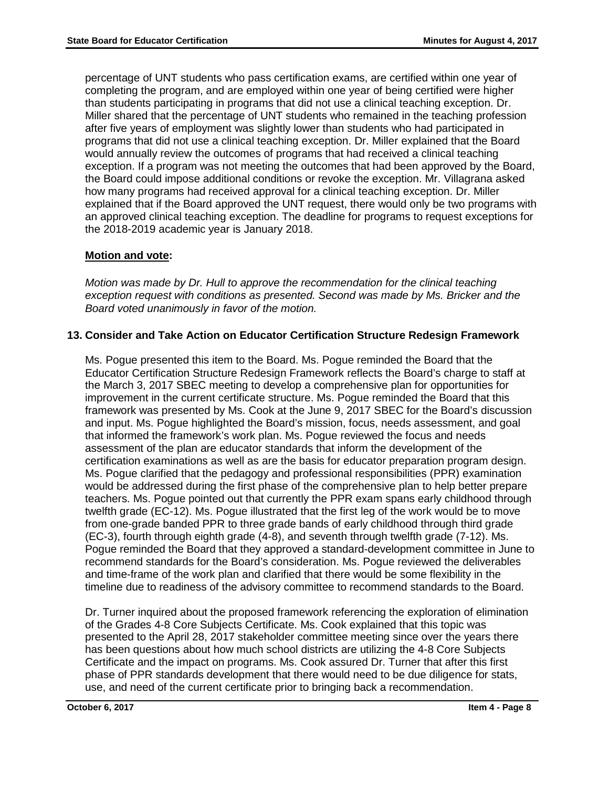percentage of UNT students who pass certification exams, are certified within one year of completing the program, and are employed within one year of being certified were higher than students participating in programs that did not use a clinical teaching exception. Dr. Miller shared that the percentage of UNT students who remained in the teaching profession after five years of employment was slightly lower than students who had participated in programs that did not use a clinical teaching exception. Dr. Miller explained that the Board would annually review the outcomes of programs that had received a clinical teaching exception. If a program was not meeting the outcomes that had been approved by the Board, the Board could impose additional conditions or revoke the exception. Mr. Villagrana asked how many programs had received approval for a clinical teaching exception. Dr. Miller explained that if the Board approved the UNT request, there would only be two programs with an approved clinical teaching exception. The deadline for programs to request exceptions for the 2018-2019 academic year is January 2018.

# **Motion and vote:**

*Motion was made by Dr. Hull to approve the recommendation for the clinical teaching exception request with conditions as presented. Second was made by Ms. Bricker and the Board voted unanimously in favor of the motion.* 

# **13. Consider and Take Action on Educator Certification Structure Redesign Framework**

Ms. Pogue presented this item to the Board. Ms. Pogue reminded the Board that the Educator Certification Structure Redesign Framework reflects the Board's charge to staff at the March 3, 2017 SBEC meeting to develop a comprehensive plan for opportunities for improvement in the current certificate structure. Ms. Pogue reminded the Board that this framework was presented by Ms. Cook at the June 9, 2017 SBEC for the Board's discussion and input. Ms. Pogue highlighted the Board's mission, focus, needs assessment, and goal that informed the framework's work plan. Ms. Pogue reviewed the focus and needs assessment of the plan are educator standards that inform the development of the certification examinations as well as are the basis for educator preparation program design. Ms. Pogue clarified that the pedagogy and professional responsibilities (PPR) examination would be addressed during the first phase of the comprehensive plan to help better prepare teachers. Ms. Pogue pointed out that currently the PPR exam spans early childhood through twelfth grade (EC-12). Ms. Pogue illustrated that the first leg of the work would be to move from one-grade banded PPR to three grade bands of early childhood through third grade (EC-3), fourth through eighth grade (4-8), and seventh through twelfth grade (7-12). Ms. Pogue reminded the Board that they approved a standard-development committee in June to recommend standards for the Board's consideration. Ms. Pogue reviewed the deliverables and time-frame of the work plan and clarified that there would be some flexibility in the timeline due to readiness of the advisory committee to recommend standards to the Board.

Dr. Turner inquired about the proposed framework referencing the exploration of elimination of the Grades 4-8 Core Subjects Certificate. Ms. Cook explained that this topic was presented to the April 28, 2017 stakeholder committee meeting since over the years there has been questions about how much school districts are utilizing the 4-8 Core Subjects Certificate and the impact on programs. Ms. Cook assured Dr. Turner that after this first phase of PPR standards development that there would need to be due diligence for stats, use, and need of the current certificate prior to bringing back a recommendation.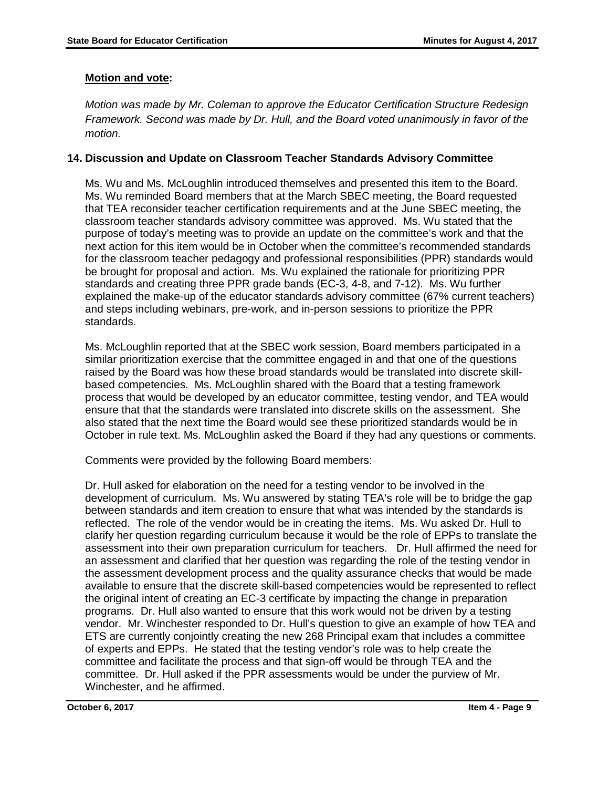# **Motion and vote:**

*Motion was made by Mr. Coleman to approve the Educator Certification Structure Redesign Framework. Second was made by Dr. Hull, and the Board voted unanimously in favor of the motion.*

# **14. Discussion and Update on Classroom Teacher Standards Advisory Committee**

Ms. Wu and Ms. McLoughlin introduced themselves and presented this item to the Board. Ms. Wu reminded Board members that at the March SBEC meeting, the Board requested that TEA reconsider teacher certification requirements and at the June SBEC meeting, the classroom teacher standards advisory committee was approved. Ms. Wu stated that the purpose of today's meeting was to provide an update on the committee's work and that the next action for this item would be in October when the committee's recommended standards for the classroom teacher pedagogy and professional responsibilities (PPR) standards would be brought for proposal and action. Ms. Wu explained the rationale for prioritizing PPR standards and creating three PPR grade bands (EC-3, 4-8, and 7-12). Ms. Wu further explained the make-up of the educator standards advisory committee (67% current teachers) and steps including webinars, pre-work, and in-person sessions to prioritize the PPR standards.

Ms. McLoughlin reported that at the SBEC work session, Board members participated in a similar prioritization exercise that the committee engaged in and that one of the questions raised by the Board was how these broad standards would be translated into discrete skillbased competencies. Ms. McLoughlin shared with the Board that a testing framework process that would be developed by an educator committee, testing vendor, and TEA would ensure that that the standards were translated into discrete skills on the assessment. She also stated that the next time the Board would see these prioritized standards would be in October in rule text. Ms. McLoughlin asked the Board if they had any questions or comments.

Comments were provided by the following Board members:

Dr. Hull asked for elaboration on the need for a testing vendor to be involved in the development of curriculum. Ms. Wu answered by stating TEA's role will be to bridge the gap between standards and item creation to ensure that what was intended by the standards is reflected. The role of the vendor would be in creating the items. Ms. Wu asked Dr. Hull to clarify her question regarding curriculum because it would be the role of EPPs to translate the assessment into their own preparation curriculum for teachers. Dr. Hull affirmed the need for an assessment and clarified that her question was regarding the role of the testing vendor in the assessment development process and the quality assurance checks that would be made available to ensure that the discrete skill-based competencies would be represented to reflect the original intent of creating an EC-3 certificate by impacting the change in preparation programs. Dr. Hull also wanted to ensure that this work would not be driven by a testing vendor. Mr. Winchester responded to Dr. Hull's question to give an example of how TEA and ETS are currently conjointly creating the new 268 Principal exam that includes a committee of experts and EPPs. He stated that the testing vendor's role was to help create the committee and facilitate the process and that sign-off would be through TEA and the committee. Dr. Hull asked if the PPR assessments would be under the purview of Mr. Winchester, and he affirmed.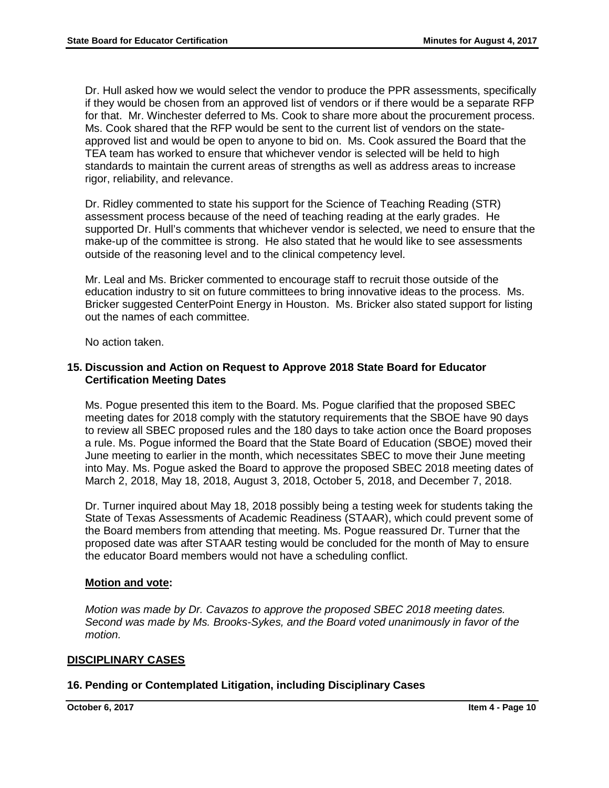Dr. Hull asked how we would select the vendor to produce the PPR assessments, specifically if they would be chosen from an approved list of vendors or if there would be a separate RFP for that. Mr. Winchester deferred to Ms. Cook to share more about the procurement process. Ms. Cook shared that the RFP would be sent to the current list of vendors on the stateapproved list and would be open to anyone to bid on. Ms. Cook assured the Board that the TEA team has worked to ensure that whichever vendor is selected will be held to high standards to maintain the current areas of strengths as well as address areas to increase rigor, reliability, and relevance.

Dr. Ridley commented to state his support for the Science of Teaching Reading (STR) assessment process because of the need of teaching reading at the early grades. He supported Dr. Hull's comments that whichever vendor is selected, we need to ensure that the make-up of the committee is strong. He also stated that he would like to see assessments outside of the reasoning level and to the clinical competency level.

Mr. Leal and Ms. Bricker commented to encourage staff to recruit those outside of the education industry to sit on future committees to bring innovative ideas to the process. Ms. Bricker suggested CenterPoint Energy in Houston. Ms. Bricker also stated support for listing out the names of each committee.

No action taken.

## **15. Discussion and Action on Request to Approve 2018 State Board for Educator Certification Meeting Dates**

Ms. Pogue presented this item to the Board. Ms. Pogue clarified that the proposed SBEC meeting dates for 2018 comply with the statutory requirements that the SBOE have 90 days to review all SBEC proposed rules and the 180 days to take action once the Board proposes a rule. Ms. Pogue informed the Board that the State Board of Education (SBOE) moved their June meeting to earlier in the month, which necessitates SBEC to move their June meeting into May. Ms. Pogue asked the Board to approve the proposed SBEC 2018 meeting dates of March 2, 2018, May 18, 2018, August 3, 2018, October 5, 2018, and December 7, 2018.

Dr. Turner inquired about May 18, 2018 possibly being a testing week for students taking the State of Texas Assessments of Academic Readiness (STAAR), which could prevent some of the Board members from attending that meeting. Ms. Pogue reassured Dr. Turner that the proposed date was after STAAR testing would be concluded for the month of May to ensure the educator Board members would not have a scheduling conflict.

# **Motion and vote:**

*Motion was made by Dr. Cavazos to approve the proposed SBEC 2018 meeting dates. Second was made by Ms. Brooks-Sykes, and the Board voted unanimously in favor of the motion.*

# **DISCIPLINARY CASES**

# **16. Pending or Contemplated Litigation, including Disciplinary Cases**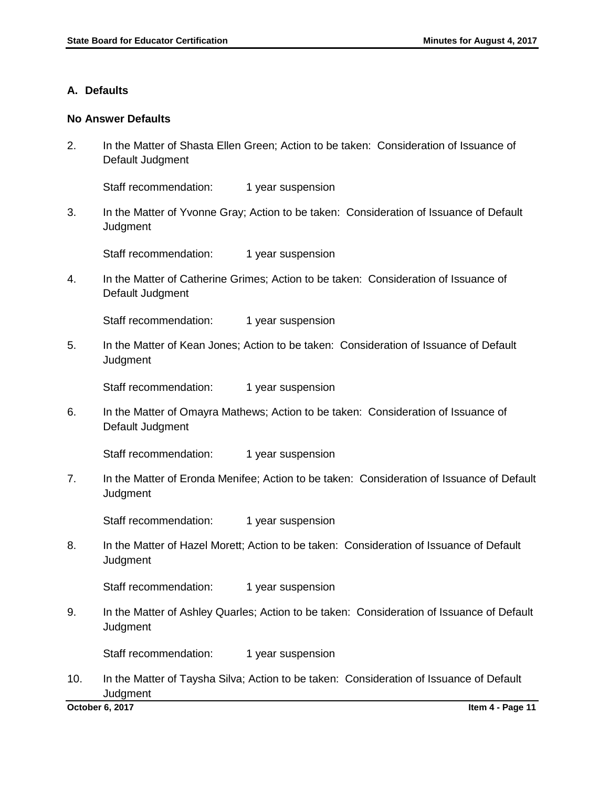## **A. Defaults**

#### **No Answer Defaults**

2. In the Matter of Shasta Ellen Green; Action to be taken: Consideration of Issuance of Default Judgment

Staff recommendation: 1 year suspension

3. In the Matter of Yvonne Gray; Action to be taken: Consideration of Issuance of Default **Judgment** 

Staff recommendation: 1 year suspension

4. In the Matter of Catherine Grimes; Action to be taken: Consideration of Issuance of Default Judgment

Staff recommendation: 1 year suspension

5. In the Matter of Kean Jones; Action to be taken: Consideration of Issuance of Default **Judgment** 

Staff recommendation: 1 year suspension

6. In the Matter of Omayra Mathews; Action to be taken: Consideration of Issuance of Default Judgment

Staff recommendation: 1 year suspension

7. In the Matter of Eronda Menifee; Action to be taken: Consideration of Issuance of Default **Judgment** 

Staff recommendation: 1 year suspension

8. In the Matter of Hazel Morett; Action to be taken: Consideration of Issuance of Default **Judgment** 

Staff recommendation: 1 year suspension

9. In the Matter of Ashley Quarles; Action to be taken: Consideration of Issuance of Default **Judgment** 

Staff recommendation: 1 year suspension

10. In the Matter of Taysha Silva; Action to be taken: Consideration of Issuance of Default **Judgment**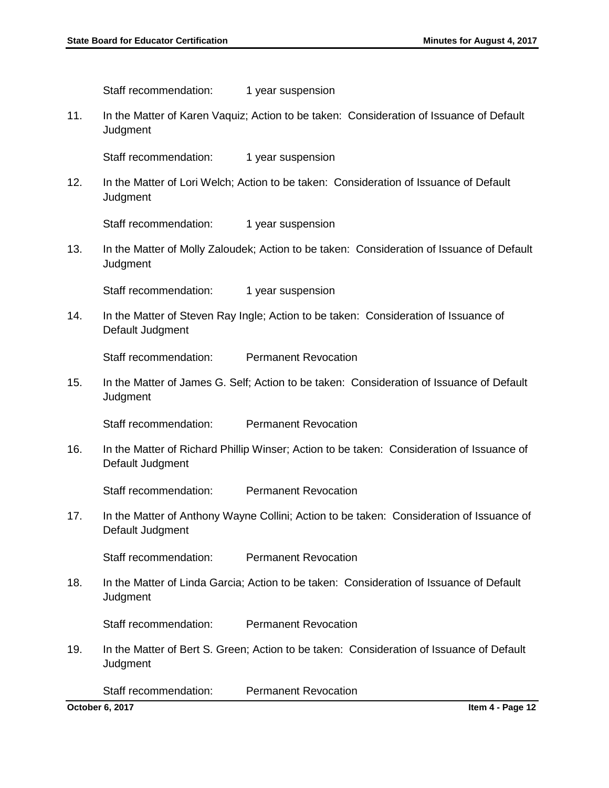|     | Staff recommendation:                                                                                         | 1 year suspension                                                                        |
|-----|---------------------------------------------------------------------------------------------------------------|------------------------------------------------------------------------------------------|
| 11. | Judgment                                                                                                      | In the Matter of Karen Vaquiz; Action to be taken: Consideration of Issuance of Default  |
|     | Staff recommendation:                                                                                         | 1 year suspension                                                                        |
| 12. | Judgment                                                                                                      | In the Matter of Lori Welch; Action to be taken: Consideration of Issuance of Default    |
|     | Staff recommendation:                                                                                         | 1 year suspension                                                                        |
| 13. | In the Matter of Molly Zaloudek; Action to be taken: Consideration of Issuance of Default<br>Judgment         |                                                                                          |
|     | Staff recommendation:                                                                                         | 1 year suspension                                                                        |
| 14. | Default Judgment                                                                                              | In the Matter of Steven Ray Ingle; Action to be taken: Consideration of Issuance of      |
|     | Staff recommendation:                                                                                         | <b>Permanent Revocation</b>                                                              |
| 15. | Judgment                                                                                                      | In the Matter of James G. Self; Action to be taken: Consideration of Issuance of Default |
|     | Staff recommendation:                                                                                         | <b>Permanent Revocation</b>                                                              |
| 16. | In the Matter of Richard Phillip Winser; Action to be taken: Consideration of Issuance of<br>Default Judgment |                                                                                          |
|     | Staff recommendation:                                                                                         | <b>Permanent Revocation</b>                                                              |
| 17. | In the Matter of Anthony Wayne Collini; Action to be taken: Consideration of Issuance of<br>Default Judgment  |                                                                                          |
|     | Staff recommendation:                                                                                         | <b>Permanent Revocation</b>                                                              |
| 18. | In the Matter of Linda Garcia; Action to be taken: Consideration of Issuance of Default<br>Judgment           |                                                                                          |
|     | Staff recommendation:                                                                                         | <b>Permanent Revocation</b>                                                              |
| 19. | Judgment                                                                                                      | In the Matter of Bert S. Green; Action to be taken: Consideration of Issuance of Default |
|     | Staff recommendation:                                                                                         | <b>Permanent Revocation</b>                                                              |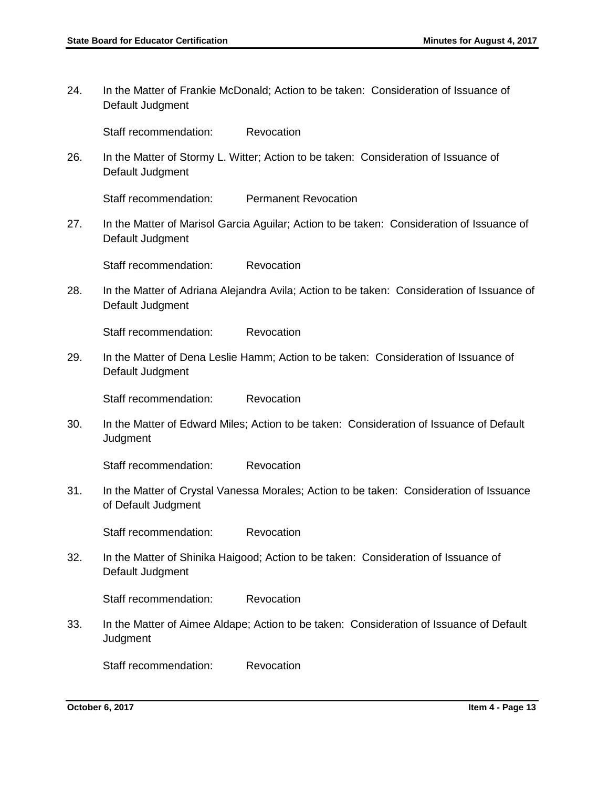24. In the Matter of Frankie McDonald; Action to be taken: Consideration of Issuance of Default Judgment

Staff recommendation: Revocation

26. In the Matter of Stormy L. Witter; Action to be taken: Consideration of Issuance of Default Judgment

Staff recommendation: Permanent Revocation

27. In the Matter of Marisol Garcia Aguilar; Action to be taken: Consideration of Issuance of Default Judgment

Staff recommendation: Revocation

28. In the Matter of Adriana Alejandra Avila; Action to be taken: Consideration of Issuance of Default Judgment

Staff recommendation: Revocation

29. In the Matter of Dena Leslie Hamm; Action to be taken: Consideration of Issuance of Default Judgment

Staff recommendation: Revocation

30. In the Matter of Edward Miles; Action to be taken: Consideration of Issuance of Default **Judgment** 

Staff recommendation: Revocation

31. In the Matter of Crystal Vanessa Morales; Action to be taken: Consideration of Issuance of Default Judgment

Staff recommendation: Revocation

32. In the Matter of Shinika Haigood; Action to be taken: Consideration of Issuance of Default Judgment

Staff recommendation: Revocation

33. In the Matter of Aimee Aldape; Action to be taken: Consideration of Issuance of Default **Judgment** 

Staff recommendation: Revocation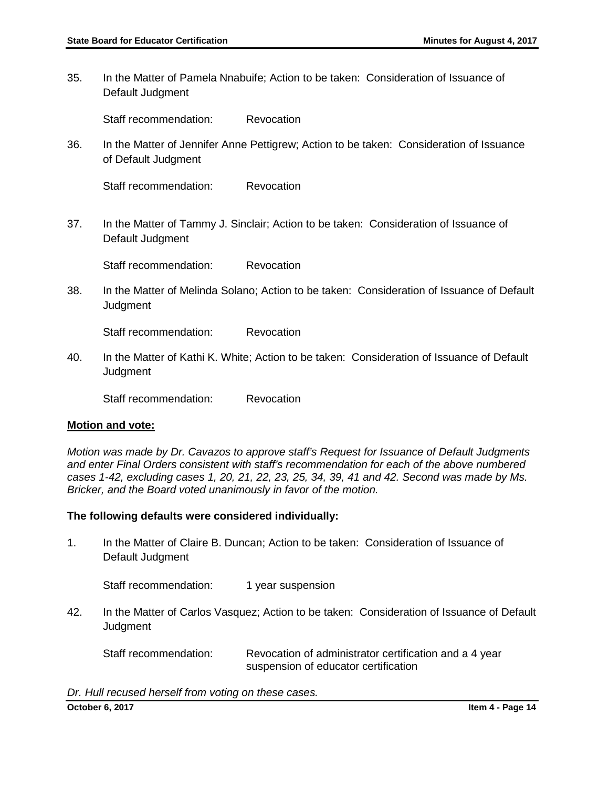35. In the Matter of Pamela Nnabuife; Action to be taken: Consideration of Issuance of Default Judgment

Staff recommendation: Revocation

36. In the Matter of Jennifer Anne Pettigrew; Action to be taken: Consideration of Issuance of Default Judgment

Staff recommendation: Revocation

37. In the Matter of Tammy J. Sinclair; Action to be taken: Consideration of Issuance of Default Judgment

Staff recommendation: Revocation

38. In the Matter of Melinda Solano; Action to be taken: Consideration of Issuance of Default **Judgment** 

Staff recommendation: Revocation

40. In the Matter of Kathi K. White; Action to be taken: Consideration of Issuance of Default **Judgment** 

Staff recommendation: Revocation

#### **Motion and vote:**

*Motion was made by Dr. Cavazos to approve staff's Request for Issuance of Default Judgments and enter Final Orders consistent with staff's recommendation for each of the above numbered cases 1-42, excluding cases 1, 20, 21, 22, 23, 25, 34, 39, 41 and 42. Second was made by Ms. Bricker, and the Board voted unanimously in favor of the motion.*

#### **The following defaults were considered individually:**

1. In the Matter of Claire B. Duncan; Action to be taken: Consideration of Issuance of Default Judgment

Staff recommendation: 1 year suspension

42. In the Matter of Carlos Vasquez; Action to be taken: Consideration of Issuance of Default **Judgment** 

Staff recommendation: Revocation of administrator certification and a 4 year suspension of educator certification

*Dr. Hull recused herself from voting on these cases.*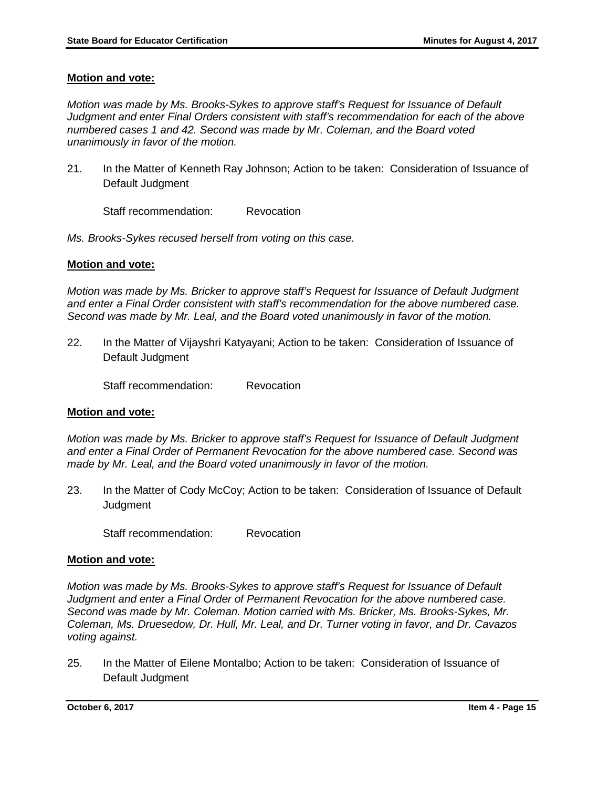## **Motion and vote:**

*Motion was made by Ms. Brooks-Sykes to approve staff's Request for Issuance of Default Judgment and enter Final Orders consistent with staff's recommendation for each of the above numbered cases 1 and 42. Second was made by Mr. Coleman, and the Board voted unanimously in favor of the motion.*

21. In the Matter of Kenneth Ray Johnson; Action to be taken: Consideration of Issuance of Default Judgment

Staff recommendation: Revocation

*Ms. Brooks-Sykes recused herself from voting on this case.* 

## **Motion and vote:**

*Motion was made by Ms. Bricker to approve staff's Request for Issuance of Default Judgment and enter a Final Order consistent with staff's recommendation for the above numbered case. Second was made by Mr. Leal, and the Board voted unanimously in favor of the motion.*

22. In the Matter of Vijayshri Katyayani; Action to be taken: Consideration of Issuance of Default Judgment

Staff recommendation: Revocation

#### **Motion and vote:**

*Motion was made by Ms. Bricker to approve staff's Request for Issuance of Default Judgment and enter a Final Order of Permanent Revocation for the above numbered case. Second was made by Mr. Leal, and the Board voted unanimously in favor of the motion.*

23. In the Matter of Cody McCoy; Action to be taken: Consideration of Issuance of Default **Judgment** 

Staff recommendation: Revocation

#### **Motion and vote:**

*Motion was made by Ms. Brooks-Sykes to approve staff's Request for Issuance of Default Judgment and enter a Final Order of Permanent Revocation for the above numbered case. Second was made by Mr. Coleman. Motion carried with Ms. Bricker, Ms. Brooks-Sykes, Mr. Coleman, Ms. Druesedow, Dr. Hull, Mr. Leal, and Dr. Turner voting in favor, and Dr. Cavazos voting against.* 

25. In the Matter of Eilene Montalbo; Action to be taken: Consideration of Issuance of Default Judgment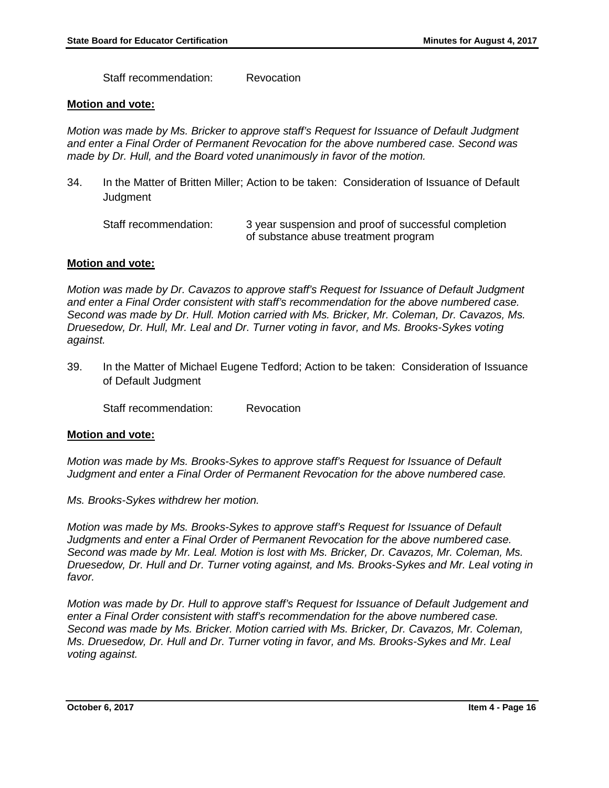Staff recommendation: Revocation

#### **Motion and vote:**

*Motion was made by Ms. Bricker to approve staff's Request for Issuance of Default Judgment and enter a Final Order of Permanent Revocation for the above numbered case. Second was made by Dr. Hull, and the Board voted unanimously in favor of the motion.* 

34. In the Matter of Britten Miller; Action to be taken: Consideration of Issuance of Default **Judgment** 

Staff recommendation: 3 year suspension and proof of successful completion of substance abuse treatment program

#### **Motion and vote:**

*Motion was made by Dr. Cavazos to approve staff's Request for Issuance of Default Judgment and enter a Final Order consistent with staff's recommendation for the above numbered case. Second was made by Dr. Hull. Motion carried with Ms. Bricker, Mr. Coleman, Dr. Cavazos, Ms. Druesedow, Dr. Hull, Mr. Leal and Dr. Turner voting in favor, and Ms. Brooks-Sykes voting against.*

39. In the Matter of Michael Eugene Tedford; Action to be taken: Consideration of Issuance of Default Judgment

Staff recommendation: Revocation

#### **Motion and vote:**

*Motion was made by Ms. Brooks-Sykes to approve staff's Request for Issuance of Default Judgment and enter a Final Order of Permanent Revocation for the above numbered case.* 

*Ms. Brooks-Sykes withdrew her motion.* 

*Motion was made by Ms. Brooks-Sykes to approve staff's Request for Issuance of Default Judgments and enter a Final Order of Permanent Revocation for the above numbered case. Second was made by Mr. Leal. Motion is lost with Ms. Bricker, Dr. Cavazos, Mr. Coleman, Ms. Druesedow, Dr. Hull and Dr. Turner voting against, and Ms. Brooks-Sykes and Mr. Leal voting in favor.* 

*Motion was made by Dr. Hull to approve staff's Request for Issuance of Default Judgement and enter a Final Order consistent with staff's recommendation for the above numbered case. Second was made by Ms. Bricker. Motion carried with Ms. Bricker, Dr. Cavazos, Mr. Coleman, Ms. Druesedow, Dr. Hull and Dr. Turner voting in favor, and Ms. Brooks-Sykes and Mr. Leal voting against.*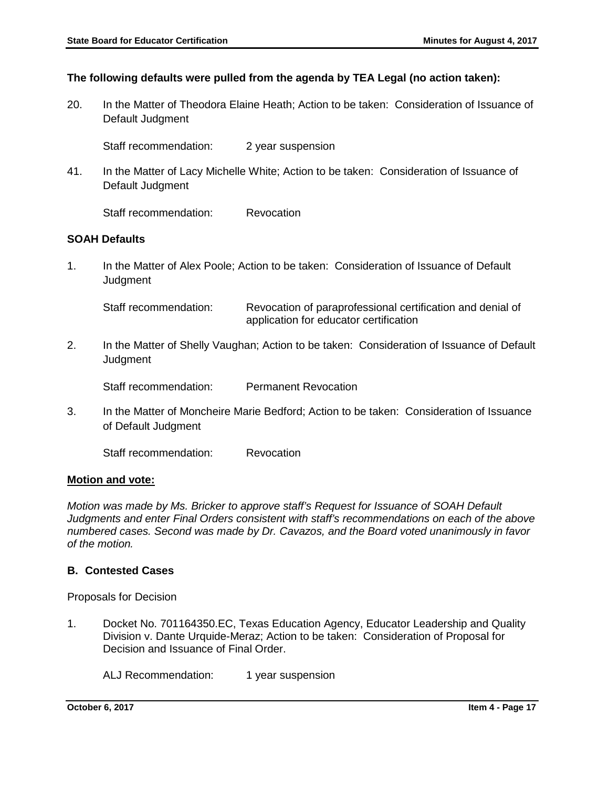# **The following defaults were pulled from the agenda by TEA Legal (no action taken):**

20. In the Matter of Theodora Elaine Heath; Action to be taken: Consideration of Issuance of Default Judgment

Staff recommendation: 2 year suspension

41. In the Matter of Lacy Michelle White; Action to be taken: Consideration of Issuance of Default Judgment

Staff recommendation: Revocation

## **SOAH Defaults**

1. In the Matter of Alex Poole; Action to be taken: Consideration of Issuance of Default Judgment

Staff recommendation: Revocation of paraprofessional certification and denial of application for educator certification

2. In the Matter of Shelly Vaughan; Action to be taken: Consideration of Issuance of Default **Judgment** 

Staff recommendation: Permanent Revocation

3. In the Matter of Moncheire Marie Bedford; Action to be taken: Consideration of Issuance of Default Judgment

Staff recommendation: Revocation

#### **Motion and vote:**

*Motion was made by Ms. Bricker to approve staff's Request for Issuance of SOAH Default Judgments and enter Final Orders consistent with staff's recommendations on each of the above numbered cases. Second was made by Dr. Cavazos, and the Board voted unanimously in favor of the motion.* 

# **B. Contested Cases**

Proposals for Decision

1. Docket No. 701164350.EC, Texas Education Agency, Educator Leadership and Quality Division v. Dante Urquide-Meraz; Action to be taken: Consideration of Proposal for Decision and Issuance of Final Order.

ALJ Recommendation: 1 year suspension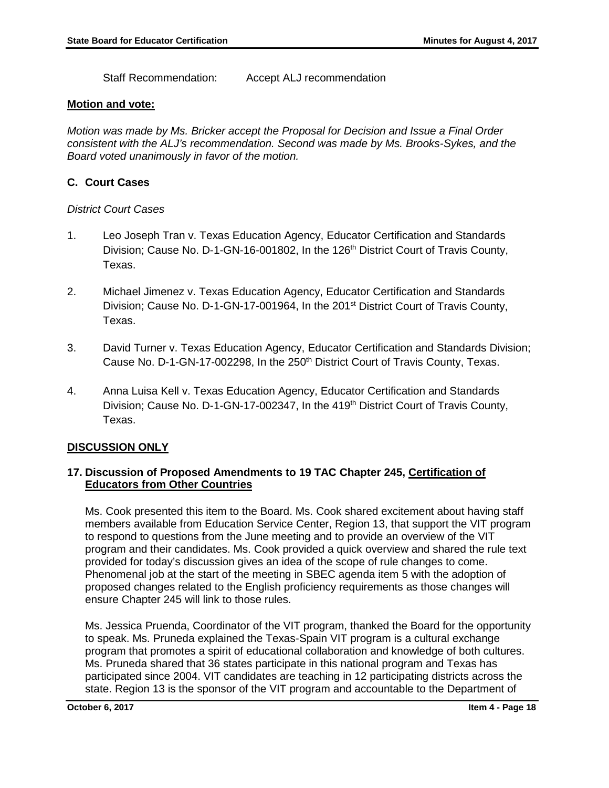Staff Recommendation: Accept ALJ recommendation

## **Motion and vote:**

*Motion was made by Ms. Bricker accept the Proposal for Decision and Issue a Final Order consistent with the ALJ's recommendation. Second was made by Ms. Brooks-Sykes, and the Board voted unanimously in favor of the motion.* 

# **C. Court Cases**

# *District Court Cases*

- 1. Leo Joseph Tran v. Texas Education Agency, Educator Certification and Standards Division; Cause No. D-1-GN-16-001802, In the 126<sup>th</sup> District Court of Travis County, Texas.
- 2. Michael Jimenez v. Texas Education Agency, Educator Certification and Standards Division; Cause No. D-1-GN-17-001964, In the 201<sup>st</sup> District Court of Travis County, Texas.
- 3. David Turner v. Texas Education Agency, Educator Certification and Standards Division; Cause No. D-1-GN-17-002298, In the 250<sup>th</sup> District Court of Travis County, Texas.
- 4. Anna Luisa Kell v. Texas Education Agency, Educator Certification and Standards Division; Cause No. D-1-GN-17-002347, In the 419<sup>th</sup> District Court of Travis County, Texas.

# **DISCUSSION ONLY**

# **17. Discussion of Proposed Amendments to 19 TAC Chapter 245, Certification of Educators from Other Countries**

Ms. Cook presented this item to the Board. Ms. Cook shared excitement about having staff members available from Education Service Center, Region 13, that support the VIT program to respond to questions from the June meeting and to provide an overview of the VIT program and their candidates. Ms. Cook provided a quick overview and shared the rule text provided for today's discussion gives an idea of the scope of rule changes to come. Phenomenal job at the start of the meeting in SBEC agenda item 5 with the adoption of proposed changes related to the English proficiency requirements as those changes will ensure Chapter 245 will link to those rules.

Ms. Jessica Pruenda, Coordinator of the VIT program, thanked the Board for the opportunity to speak. Ms. Pruneda explained the Texas-Spain VIT program is a cultural exchange program that promotes a spirit of educational collaboration and knowledge of both cultures. Ms. Pruneda shared that 36 states participate in this national program and Texas has participated since 2004. VIT candidates are teaching in 12 participating districts across the state. Region 13 is the sponsor of the VIT program and accountable to the Department of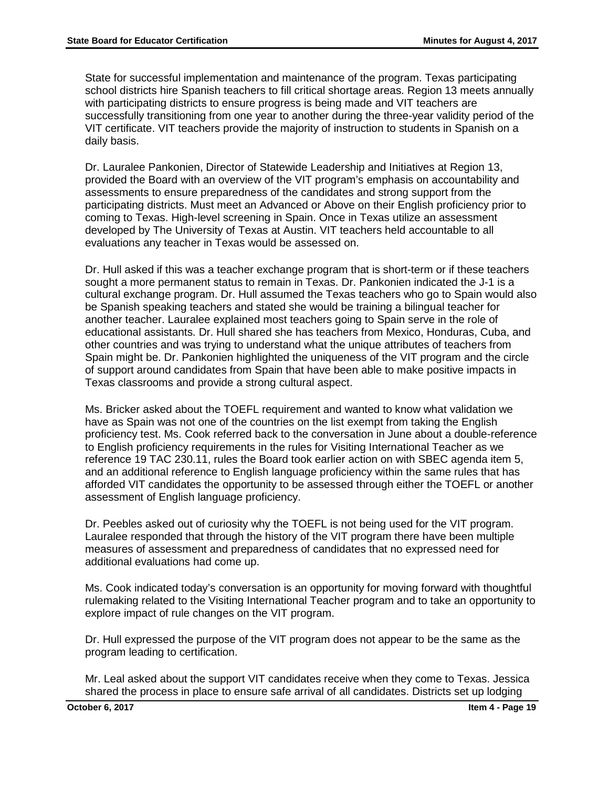State for successful implementation and maintenance of the program. Texas participating school districts hire Spanish teachers to fill critical shortage areas. Region 13 meets annually with participating districts to ensure progress is being made and VIT teachers are successfully transitioning from one year to another during the three-year validity period of the VIT certificate. VIT teachers provide the majority of instruction to students in Spanish on a daily basis.

Dr. Lauralee Pankonien, Director of Statewide Leadership and Initiatives at Region 13, provided the Board with an overview of the VIT program's emphasis on accountability and assessments to ensure preparedness of the candidates and strong support from the participating districts. Must meet an Advanced or Above on their English proficiency prior to coming to Texas. High-level screening in Spain. Once in Texas utilize an assessment developed by The University of Texas at Austin. VIT teachers held accountable to all evaluations any teacher in Texas would be assessed on.

Dr. Hull asked if this was a teacher exchange program that is short-term or if these teachers sought a more permanent status to remain in Texas. Dr. Pankonien indicated the J-1 is a cultural exchange program. Dr. Hull assumed the Texas teachers who go to Spain would also be Spanish speaking teachers and stated she would be training a bilingual teacher for another teacher. Lauralee explained most teachers going to Spain serve in the role of educational assistants. Dr. Hull shared she has teachers from Mexico, Honduras, Cuba, and other countries and was trying to understand what the unique attributes of teachers from Spain might be. Dr. Pankonien highlighted the uniqueness of the VIT program and the circle of support around candidates from Spain that have been able to make positive impacts in Texas classrooms and provide a strong cultural aspect.

Ms. Bricker asked about the TOEFL requirement and wanted to know what validation we have as Spain was not one of the countries on the list exempt from taking the English proficiency test. Ms. Cook referred back to the conversation in June about a double-reference to English proficiency requirements in the rules for Visiting International Teacher as we reference 19 TAC 230.11, rules the Board took earlier action on with SBEC agenda item 5, and an additional reference to English language proficiency within the same rules that has afforded VIT candidates the opportunity to be assessed through either the TOEFL or another assessment of English language proficiency.

Dr. Peebles asked out of curiosity why the TOEFL is not being used for the VIT program. Lauralee responded that through the history of the VIT program there have been multiple measures of assessment and preparedness of candidates that no expressed need for additional evaluations had come up.

Ms. Cook indicated today's conversation is an opportunity for moving forward with thoughtful rulemaking related to the Visiting International Teacher program and to take an opportunity to explore impact of rule changes on the VIT program.

Dr. Hull expressed the purpose of the VIT program does not appear to be the same as the program leading to certification.

Mr. Leal asked about the support VIT candidates receive when they come to Texas. Jessica shared the process in place to ensure safe arrival of all candidates. Districts set up lodging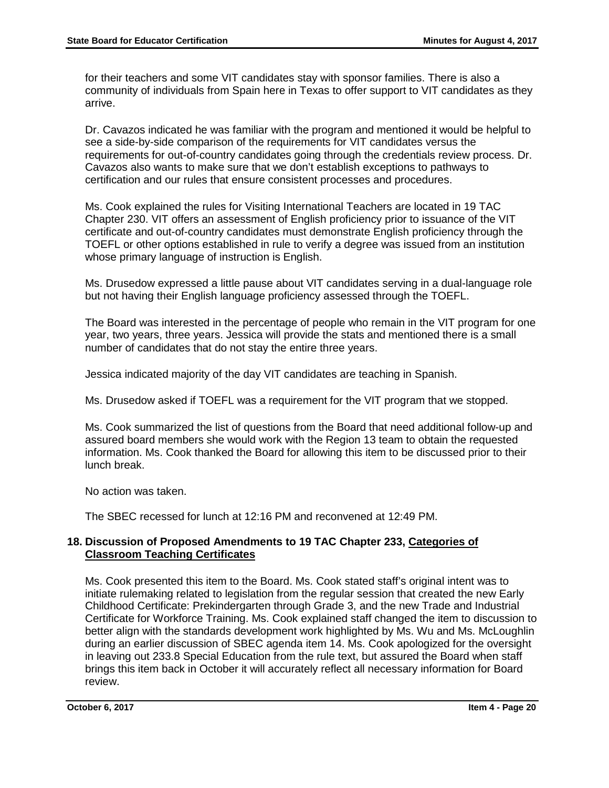for their teachers and some VIT candidates stay with sponsor families. There is also a community of individuals from Spain here in Texas to offer support to VIT candidates as they arrive.

Dr. Cavazos indicated he was familiar with the program and mentioned it would be helpful to see a side-by-side comparison of the requirements for VIT candidates versus the requirements for out-of-country candidates going through the credentials review process. Dr. Cavazos also wants to make sure that we don't establish exceptions to pathways to certification and our rules that ensure consistent processes and procedures.

Ms. Cook explained the rules for Visiting International Teachers are located in 19 TAC Chapter 230. VIT offers an assessment of English proficiency prior to issuance of the VIT certificate and out-of-country candidates must demonstrate English proficiency through the TOEFL or other options established in rule to verify a degree was issued from an institution whose primary language of instruction is English.

Ms. Drusedow expressed a little pause about VIT candidates serving in a dual-language role but not having their English language proficiency assessed through the TOEFL.

The Board was interested in the percentage of people who remain in the VIT program for one year, two years, three years. Jessica will provide the stats and mentioned there is a small number of candidates that do not stay the entire three years.

Jessica indicated majority of the day VIT candidates are teaching in Spanish.

Ms. Drusedow asked if TOEFL was a requirement for the VIT program that we stopped.

Ms. Cook summarized the list of questions from the Board that need additional follow-up and assured board members she would work with the Region 13 team to obtain the requested information. Ms. Cook thanked the Board for allowing this item to be discussed prior to their lunch break.

No action was taken.

The SBEC recessed for lunch at 12:16 PM and reconvened at 12:49 PM.

# **18. Discussion of Proposed Amendments to 19 TAC Chapter 233, Categories of Classroom Teaching Certificates**

Ms. Cook presented this item to the Board. Ms. Cook stated staff's original intent was to initiate rulemaking related to legislation from the regular session that created the new Early Childhood Certificate: Prekindergarten through Grade 3, and the new Trade and Industrial Certificate for Workforce Training. Ms. Cook explained staff changed the item to discussion to better align with the standards development work highlighted by Ms. Wu and Ms. McLoughlin during an earlier discussion of SBEC agenda item 14. Ms. Cook apologized for the oversight in leaving out 233.8 Special Education from the rule text, but assured the Board when staff brings this item back in October it will accurately reflect all necessary information for Board review.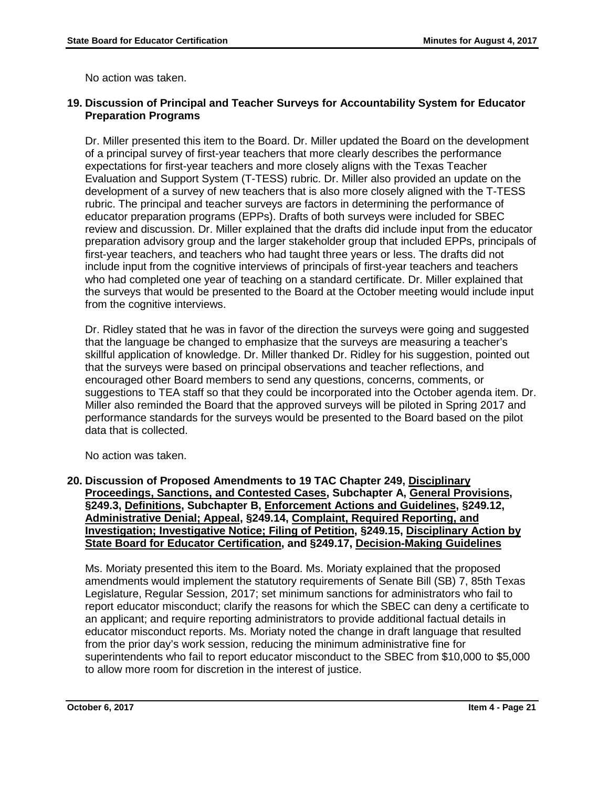No action was taken.

# **19. Discussion of Principal and Teacher Surveys for Accountability System for Educator Preparation Programs**

Dr. Miller presented this item to the Board. Dr. Miller updated the Board on the development of a principal survey of first-year teachers that more clearly describes the performance expectations for first-year teachers and more closely aligns with the Texas Teacher Evaluation and Support System (T-TESS) rubric. Dr. Miller also provided an update on the development of a survey of new teachers that is also more closely aligned with the T-TESS rubric. The principal and teacher surveys are factors in determining the performance of educator preparation programs (EPPs). Drafts of both surveys were included for SBEC review and discussion. Dr. Miller explained that the drafts did include input from the educator preparation advisory group and the larger stakeholder group that included EPPs, principals of first-year teachers, and teachers who had taught three years or less. The drafts did not include input from the cognitive interviews of principals of first-year teachers and teachers who had completed one year of teaching on a standard certificate. Dr. Miller explained that the surveys that would be presented to the Board at the October meeting would include input from the cognitive interviews.

Dr. Ridley stated that he was in favor of the direction the surveys were going and suggested that the language be changed to emphasize that the surveys are measuring a teacher's skillful application of knowledge. Dr. Miller thanked Dr. Ridley for his suggestion, pointed out that the surveys were based on principal observations and teacher reflections, and encouraged other Board members to send any questions, concerns, comments, or suggestions to TEA staff so that they could be incorporated into the October agenda item. Dr. Miller also reminded the Board that the approved surveys will be piloted in Spring 2017 and performance standards for the surveys would be presented to the Board based on the pilot data that is collected.

No action was taken.

**20. Discussion of Proposed Amendments to 19 TAC Chapter 249, Disciplinary Proceedings, Sanctions, and Contested Cases, Subchapter A, General Provisions, §249.3, Definitions, Subchapter B, Enforcement Actions and Guidelines, §249.12, Administrative Denial; Appeal, §249.14, Complaint, Required Reporting, and Investigation; Investigative Notice; Filing of Petition, §249.15, Disciplinary Action by State Board for Educator Certification, and §249.17, Decision-Making Guidelines**

Ms. Moriaty presented this item to the Board. Ms. Moriaty explained that the proposed amendments would implement the statutory requirements of Senate Bill (SB) 7, 85th Texas Legislature, Regular Session, 2017; set minimum sanctions for administrators who fail to report educator misconduct; clarify the reasons for which the SBEC can deny a certificate to an applicant; and require reporting administrators to provide additional factual details in educator misconduct reports. Ms. Moriaty noted the change in draft language that resulted from the prior day's work session, reducing the minimum administrative fine for superintendents who fail to report educator misconduct to the SBEC from \$10,000 to \$5,000 to allow more room for discretion in the interest of justice.